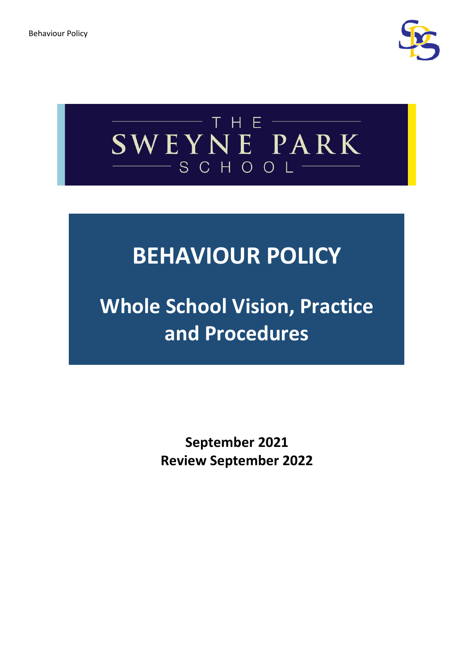



# **BEHAVIOUR POLICY**

**Whole School Vision, Practice and Procedures**

> **September 2021 Review September 2022**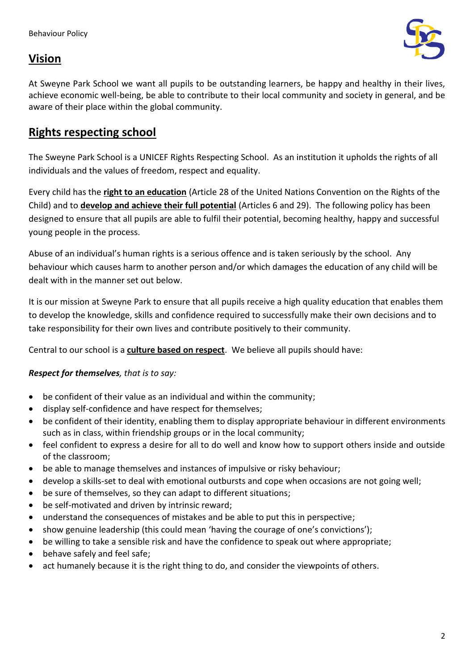# **Vision**



At Sweyne Park School we want all pupils to be outstanding learners, be happy and healthy in their lives, achieve economic well-being, be able to contribute to their local community and society in general, and be aware of their place within the global community.

## **Rights respecting school**

The Sweyne Park School is a UNICEF Rights Respecting School. As an institution it upholds the rights of all individuals and the values of freedom, respect and equality.

Every child has the **right to an education** (Article 28 of the United Nations Convention on the Rights of the Child) and to **develop and achieve their full potential** (Articles 6 and 29). The following policy has been designed to ensure that all pupils are able to fulfil their potential, becoming healthy, happy and successful young people in the process.

Abuse of an individual's human rights is a serious offence and is taken seriously by the school. Any behaviour which causes harm to another person and/or which damages the education of any child will be dealt with in the manner set out below.

It is our mission at Sweyne Park to ensure that all pupils receive a high quality education that enables them to develop the knowledge, skills and confidence required to successfully make their own decisions and to take responsibility for their own lives and contribute positively to their community.

Central to our school is a **culture based on respect**. We believe all pupils should have:

## *Respect for themselves, that is to say:*

- be confident of their value as an individual and within the community;
- display self-confidence and have respect for themselves;
- be confident of their identity, enabling them to display appropriate behaviour in different environments such as in class, within friendship groups or in the local community;
- feel confident to express a desire for all to do well and know how to support others inside and outside of the classroom;
- be able to manage themselves and instances of impulsive or risky behaviour;
- develop a skills-set to deal with emotional outbursts and cope when occasions are not going well;
- be sure of themselves, so they can adapt to different situations;
- be self-motivated and driven by intrinsic reward;
- understand the consequences of mistakes and be able to put this in perspective;
- show genuine leadership (this could mean 'having the courage of one's convictions');
- be willing to take a sensible risk and have the confidence to speak out where appropriate;
- behave safely and feel safe;
- act humanely because it is the right thing to do, and consider the viewpoints of others.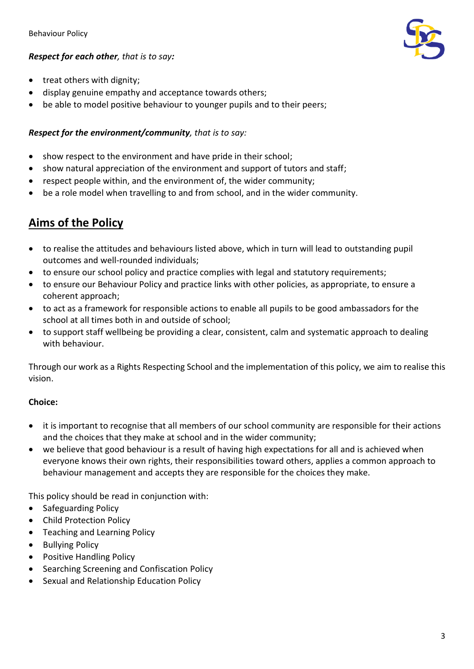## *Respect for each other, that is to say:*



- treat others with dignity;
- display genuine empathy and acceptance towards others;
- be able to model positive behaviour to younger pupils and to their peers;

## *Respect for the environment/community, that is to say:*

- show respect to the environment and have pride in their school;
- show natural appreciation of the environment and support of tutors and staff;
- respect people within, and the environment of, the wider community;
- be a role model when travelling to and from school, and in the wider community.

# **Aims of the Policy**

- to realise the attitudes and behaviours listed above, which in turn will lead to outstanding pupil outcomes and well-rounded individuals;
- to ensure our school policy and practice complies with legal and statutory requirements;
- to ensure our Behaviour Policy and practice links with other policies, as appropriate, to ensure a coherent approach;
- to act as a framework for responsible actions to enable all pupils to be good ambassadors for the school at all times both in and outside of school;
- to support staff wellbeing be providing a clear, consistent, calm and systematic approach to dealing with behaviour.

Through our work as a Rights Respecting School and the implementation of this policy, we aim to realise this vision.

## **Choice:**

- it is important to recognise that all members of our school community are responsible for their actions and the choices that they make at school and in the wider community;
- we believe that good behaviour is a result of having high expectations for all and is achieved when everyone knows their own rights, their responsibilities toward others, applies a common approach to behaviour management and accepts they are responsible for the choices they make.

This policy should be read in conjunction with:

- Safeguarding Policy
- Child Protection Policy
- Teaching and Learning Policy
- Bullying Policy
- Positive Handling Policy
- Searching Screening and Confiscation Policy
- Sexual and Relationship Education Policy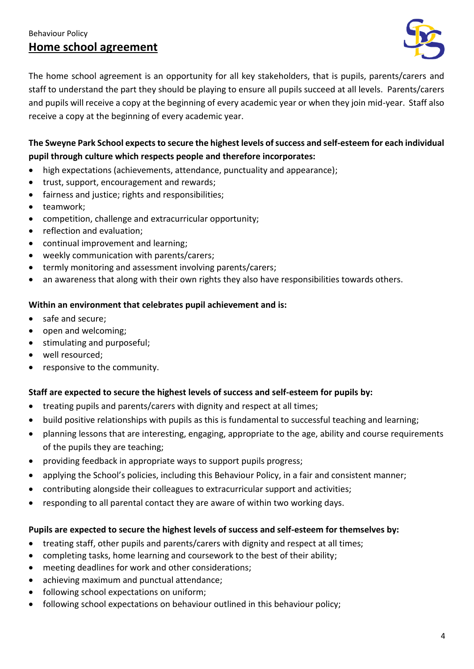## Behaviour Policy **Home school agreement**



The home school agreement is an opportunity for all key stakeholders, that is pupils, parents/carers and staff to understand the part they should be playing to ensure all pupils succeed at all levels. Parents/carers and pupils will receive a copy at the beginning of every academic year or when they join mid-year. Staff also receive a copy at the beginning of every academic year.

## **The Sweyne Park School expects to secure the highest levels of success and self-esteem for each individual pupil through culture which respects people and therefore incorporates:**

- high expectations (achievements, attendance, punctuality and appearance);
- trust, support, encouragement and rewards;
- fairness and justice; rights and responsibilities;
- teamwork;
- competition, challenge and extracurricular opportunity;
- reflection and evaluation;
- continual improvement and learning;
- weekly communication with parents/carers;
- termly monitoring and assessment involving parents/carers;
- an awareness that along with their own rights they also have responsibilities towards others.

### **Within an environment that celebrates pupil achievement and is:**

- safe and secure;
- open and welcoming;
- stimulating and purposeful;
- well resourced;
- responsive to the community.

## **Staff are expected to secure the highest levels of success and self-esteem for pupils by:**

- treating pupils and parents/carers with dignity and respect at all times;
- build positive relationships with pupils as this is fundamental to successful teaching and learning;
- planning lessons that are interesting, engaging, appropriate to the age, ability and course requirements of the pupils they are teaching;
- providing feedback in appropriate ways to support pupils progress;
- applying the School's policies, including this Behaviour Policy, in a fair and consistent manner;
- contributing alongside their colleagues to extracurricular support and activities;
- responding to all parental contact they are aware of within two working days.

#### **Pupils are expected to secure the highest levels of success and self-esteem for themselves by:**

- treating staff, other pupils and parents/carers with dignity and respect at all times;
- completing tasks, home learning and coursework to the best of their ability;
- meeting deadlines for work and other considerations;
- achieving maximum and punctual attendance;
- following school expectations on uniform;
- following school expectations on behaviour outlined in this behaviour policy;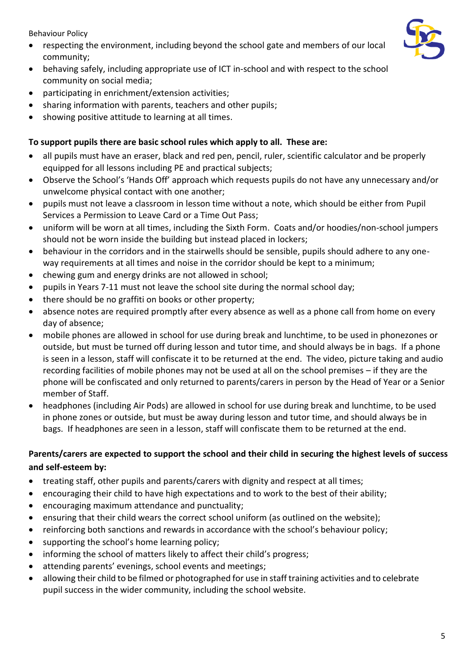Behaviour Policy

- respecting the environment, including beyond the school gate and members of our local community;
- behaving safely, including appropriate use of ICT in-school and with respect to the school community on social media;
- participating in enrichment/extension activities;
- sharing information with parents, teachers and other pupils;
- showing positive attitude to learning at all times.

## **To support pupils there are basic school rules which apply to all. These are:**

- all pupils must have an eraser, black and red pen, pencil, ruler, scientific calculator and be properly equipped for all lessons including PE and practical subjects;
- Observe the School's 'Hands Off' approach which requests pupils do not have any unnecessary and/or unwelcome physical contact with one another;
- pupils must not leave a classroom in lesson time without a note, which should be either from Pupil Services a Permission to Leave Card or a Time Out Pass;
- uniform will be worn at all times, including the Sixth Form. Coats and/or hoodies/non-school jumpers should not be worn inside the building but instead placed in lockers;
- behaviour in the corridors and in the stairwells should be sensible, pupils should adhere to any oneway requirements at all times and noise in the corridor should be kept to a minimum;
- chewing gum and energy drinks are not allowed in school;
- pupils in Years 7-11 must not leave the school site during the normal school day;
- there should be no graffiti on books or other property;
- absence notes are required promptly after every absence as well as a phone call from home on every day of absence;
- mobile phones are allowed in school for use during break and lunchtime, to be used in phonezones or outside, but must be turned off during lesson and tutor time, and should always be in bags. If a phone is seen in a lesson, staff will confiscate it to be returned at the end. The video, picture taking and audio recording facilities of mobile phones may not be used at all on the school premises – if they are the phone will be confiscated and only returned to parents/carers in person by the Head of Year or a Senior member of Staff.
- headphones (including Air Pods) are allowed in school for use during break and lunchtime, to be used in phone zones or outside, but must be away during lesson and tutor time, and should always be in bags. If headphones are seen in a lesson, staff will confiscate them to be returned at the end.

## **Parents/carers are expected to support the school and their child in securing the highest levels of success and self-esteem by:**

- treating staff, other pupils and parents/carers with dignity and respect at all times;
- encouraging their child to have high expectations and to work to the best of their ability;
- encouraging maximum attendance and punctuality;
- ensuring that their child wears the correct school uniform (as outlined on the website);
- reinforcing both sanctions and rewards in accordance with the school's behaviour policy;
- supporting the school's home learning policy;
- informing the school of matters likely to affect their child's progress;
- attending parents' evenings, school events and meetings;
- allowing their child to be filmed or photographed for use in staff training activities and to celebrate pupil success in the wider community, including the school website.

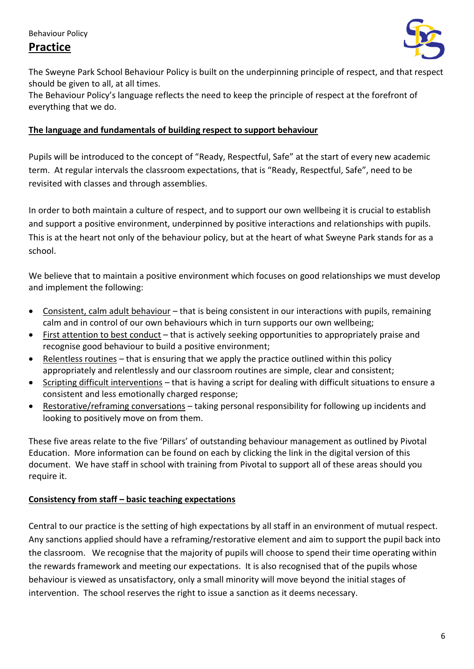# **Practice**



The Sweyne Park School Behaviour Policy is built on the underpinning principle of respect, and that respect should be given to all, at all times.

The Behaviour Policy's language reflects the need to keep the principle of respect at the forefront of everything that we do.

## **The language and fundamentals of building respect to support behaviour**

Pupils will be introduced to the concept of "Ready, Respectful, Safe" at the start of every new academic term. At regular intervals the classroom expectations, that is "Ready, Respectful, Safe", need to be revisited with classes and through assemblies.

In order to both maintain a culture of respect, and to support our own wellbeing it is crucial to establish and support a positive environment, underpinned by positive interactions and relationships with pupils. This is at the heart not only of the behaviour policy, but at the heart of what Sweyne Park stands for as a school.

We believe that to maintain a positive environment which focuses on good relationships we must develop and implement the following:

- [Consistent, calm adult behaviour](https://pivotaleducation.com/classroom-behaviour-management/resource-bank/pillar-1-consistent-calm-adult-behaviour/) that is being consistent in our interactions with pupils, remaining calm and in control of our own behaviours which in turn supports our own wellbeing;
- [First attention to best conduct](https://pivotaleducation.com/classroom-behaviour-management/resource-bank/pillar-2-first-attention-to-best-conduct/) that is actively seeking opportunities to appropriately praise and recognise good behaviour to build a positive environment;
- [Relentless routines](https://pivotaleducation.com/classroom-behaviour-management/resource-bank/pillar-3-relentless-routines/) that is ensuring that we apply the practice outlined within this policy appropriately and relentlessly and our classroom routines are simple, clear and consistent;
- [Scripting difficult interventions](https://pivotaleducation.com/classroom-behaviour-management/resource-bank/pillar-4-scripting-difficult-interventions/) that is having a script for dealing with difficult situations to ensure a consistent and less emotionally charged response;
- [Restorative/reframing](https://pivotaleducation.com/classroom-behaviour-management/resource-bank/pillar-5-restorative-conversations/) conversations taking personal responsibility for following up incidents and looking to positively move on from them.

These five areas relate to the five 'Pillars' of outstanding behaviour management as outlined by Pivotal Education. More information can be found on each by clicking the link in the digital version of this document. We have staff in school with training from Pivotal to support all of these areas should you require it.

## **Consistency from staff – basic teaching expectations**

Central to our practice is the setting of high expectations by all staff in an environment of mutual respect. Any sanctions applied should have a reframing/restorative element and aim to support the pupil back into the classroom. We recognise that the majority of pupils will choose to spend their time operating within the rewards framework and meeting our expectations. It is also recognised that of the pupils whose behaviour is viewed as unsatisfactory, only a small minority will move beyond the initial stages of intervention. The school reserves the right to issue a sanction as it deems necessary.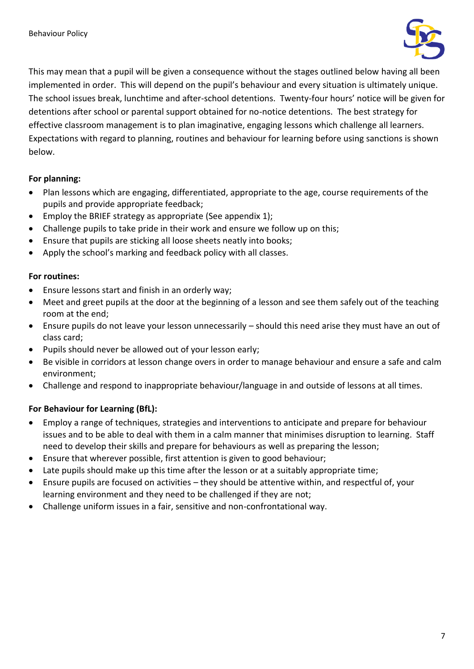

This may mean that a pupil will be given a consequence without the stages outlined below having all been implemented in order. This will depend on the pupil's behaviour and every situation is ultimately unique. The school issues break, lunchtime and after-school detentions. Twenty-four hours' notice will be given for detentions after school or parental support obtained for no-notice detentions. The best strategy for effective classroom management is to plan imaginative, engaging lessons which challenge all learners. Expectations with regard to planning, routines and behaviour for learning before using sanctions is shown below.

## **For planning:**

- Plan lessons which are engaging, differentiated, appropriate to the age, course requirements of the pupils and provide appropriate feedback;
- Employ the BRIEF strategy as appropriate (See appendix 1);
- Challenge pupils to take pride in their work and ensure we follow up on this;
- Ensure that pupils are sticking all loose sheets neatly into books;
- Apply the school's marking and feedback policy with all classes.

## **For routines:**

- Ensure lessons start and finish in an orderly way;
- Meet and greet pupils at the door at the beginning of a lesson and see them safely out of the teaching room at the end;
- Ensure pupils do not leave your lesson unnecessarily should this need arise they must have an out of class card;
- Pupils should never be allowed out of your lesson early;
- Be visible in corridors at lesson change overs in order to manage behaviour and ensure a safe and calm environment;
- Challenge and respond to inappropriate behaviour/language in and outside of lessons at all times.

## **For Behaviour for Learning (BfL):**

- Employ a range of techniques, strategies and interventions to anticipate and prepare for behaviour issues and to be able to deal with them in a calm manner that minimises disruption to learning. Staff need to develop their skills and prepare for behaviours as well as preparing the lesson;
- Ensure that wherever possible, first attention is given to good behaviour;
- Late pupils should make up this time after the lesson or at a suitably appropriate time;
- Ensure pupils are focused on activities they should be attentive within, and respectful of, your learning environment and they need to be challenged if they are not;
- Challenge uniform issues in a fair, sensitive and non-confrontational way.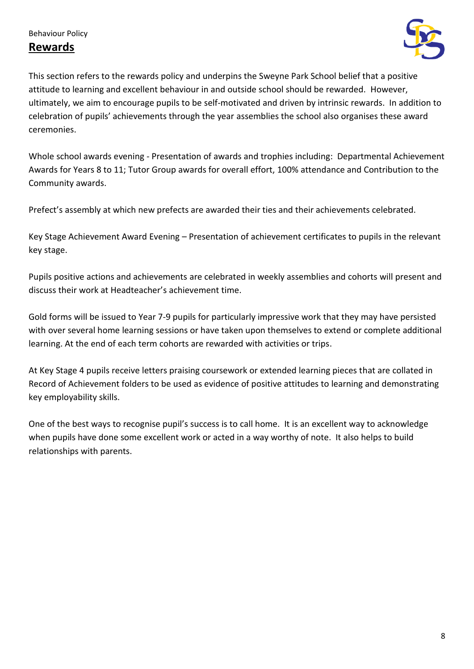## **Rewards**



This section refers to the rewards policy and underpins the Sweyne Park School belief that a positive attitude to learning and excellent behaviour in and outside school should be rewarded. However, ultimately, we aim to encourage pupils to be self-motivated and driven by intrinsic rewards. In addition to celebration of pupils' achievements through the year assemblies the school also organises these award ceremonies.

Whole school awards evening - Presentation of awards and trophies including: Departmental Achievement Awards for Years 8 to 11; Tutor Group awards for overall effort, 100% attendance and Contribution to the Community awards.

Prefect's assembly at which new prefects are awarded their ties and their achievements celebrated.

Key Stage Achievement Award Evening – Presentation of achievement certificates to pupils in the relevant key stage.

Pupils positive actions and achievements are celebrated in weekly assemblies and cohorts will present and discuss their work at Headteacher's achievement time.

Gold forms will be issued to Year 7-9 pupils for particularly impressive work that they may have persisted with over several home learning sessions or have taken upon themselves to extend or complete additional learning. At the end of each term cohorts are rewarded with activities or trips.

At Key Stage 4 pupils receive letters praising coursework or extended learning pieces that are collated in Record of Achievement folders to be used as evidence of positive attitudes to learning and demonstrating key employability skills.

One of the best ways to recognise pupil's success is to call home. It is an excellent way to acknowledge when pupils have done some excellent work or acted in a way worthy of note. It also helps to build relationships with parents.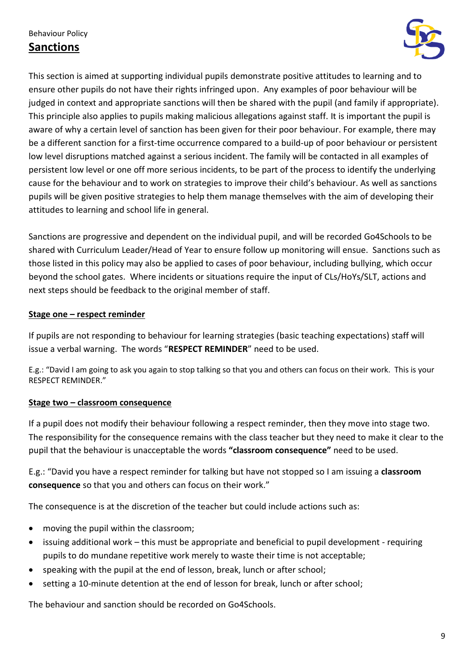## Behaviour Policy **Sanctions**



This section is aimed at supporting individual pupils demonstrate positive attitudes to learning and to ensure other pupils do not have their rights infringed upon. Any examples of poor behaviour will be judged in context and appropriate sanctions will then be shared with the pupil (and family if appropriate). This principle also applies to pupils making malicious allegations against staff. It is important the pupil is aware of why a certain level of sanction has been given for their poor behaviour. For example, there may be a different sanction for a first-time occurrence compared to a build-up of poor behaviour or persistent low level disruptions matched against a serious incident. The family will be contacted in all examples of persistent low level or one off more serious incidents, to be part of the process to identify the underlying cause for the behaviour and to work on strategies to improve their child's behaviour. As well as sanctions pupils will be given positive strategies to help them manage themselves with the aim of developing their attitudes to learning and school life in general.

Sanctions are progressive and dependent on the individual pupil, and will be recorded Go4Schools to be shared with Curriculum Leader/Head of Year to ensure follow up monitoring will ensue. Sanctions such as those listed in this policy may also be applied to cases of poor behaviour, including bullying, which occur beyond the school gates. Where incidents or situations require the input of CLs/HoYs/SLT, actions and next steps should be feedback to the original member of staff.

### **Stage one – respect reminder**

If pupils are not responding to behaviour for learning strategies (basic teaching expectations) staff will issue a verbal warning. The words "**RESPECT REMINDER**" need to be used.

E.g.: "David I am going to ask you again to stop talking so that you and others can focus on their work. This is your RESPECT REMINDER."

## **Stage two – classroom consequence**

If a pupil does not modify their behaviour following a respect reminder, then they move into stage two. The responsibility for the consequence remains with the class teacher but they need to make it clear to the pupil that the behaviour is unacceptable the words **"classroom consequence"** need to be used.

E.g.: "David you have a respect reminder for talking but have not stopped so I am issuing a **classroom consequence** so that you and others can focus on their work."

The consequence is at the discretion of the teacher but could include actions such as:

- moving the pupil within the classroom;
- issuing additional work this must be appropriate and beneficial to pupil development requiring pupils to do mundane repetitive work merely to waste their time is not acceptable;
- speaking with the pupil at the end of lesson, break, lunch or after school;
- setting a 10-minute detention at the end of lesson for break, lunch or after school;

The behaviour and sanction should be recorded on Go4Schools.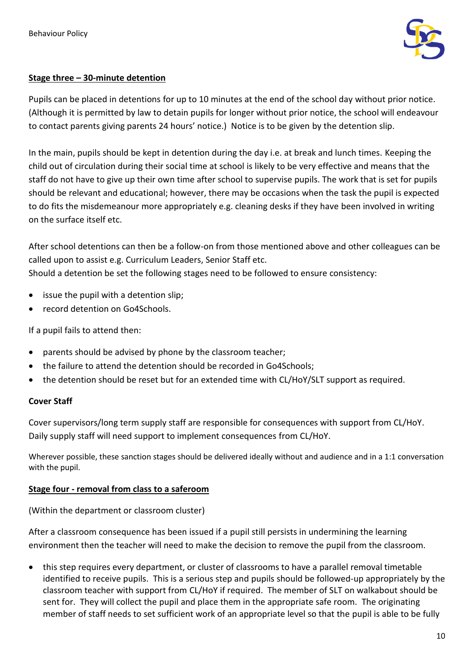

### **Stage three – 30-minute detention**

Pupils can be placed in detentions for up to 10 minutes at the end of the school day without prior notice. (Although it is permitted by law to detain pupils for longer without prior notice, the school will endeavour to contact parents giving parents 24 hours' notice.) Notice is to be given by the detention slip.

In the main, pupils should be kept in detention during the day i.e. at break and lunch times. Keeping the child out of circulation during their social time at school is likely to be very effective and means that the staff do not have to give up their own time after school to supervise pupils. The work that is set for pupils should be relevant and educational; however, there may be occasions when the task the pupil is expected to do fits the misdemeanour more appropriately e.g. cleaning desks if they have been involved in writing on the surface itself etc.

After school detentions can then be a follow-on from those mentioned above and other colleagues can be called upon to assist e.g. Curriculum Leaders, Senior Staff etc.

Should a detention be set the following stages need to be followed to ensure consistency:

- issue the pupil with a detention slip:
- record detention on Go4Schools.

If a pupil fails to attend then:

- parents should be advised by phone by the classroom teacher;
- the failure to attend the detention should be recorded in Go4Schools;
- the detention should be reset but for an extended time with CL/HoY/SLT support as required.

## **Cover Staff**

Cover supervisors/long term supply staff are responsible for consequences with support from CL/HoY. Daily supply staff will need support to implement consequences from CL/HoY.

Wherever possible, these sanction stages should be delivered ideally without and audience and in a 1:1 conversation with the pupil.

## **Stage four - removal from class to a saferoom**

(Within the department or classroom cluster)

After a classroom consequence has been issued if a pupil still persists in undermining the learning environment then the teacher will need to make the decision to remove the pupil from the classroom.

• this step requires every department, or cluster of classrooms to have a parallel removal timetable identified to receive pupils. This is a serious step and pupils should be followed-up appropriately by the classroom teacher with support from CL/HoY if required. The member of SLT on walkabout should be sent for. They will collect the pupil and place them in the appropriate safe room. The originating member of staff needs to set sufficient work of an appropriate level so that the pupil is able to be fully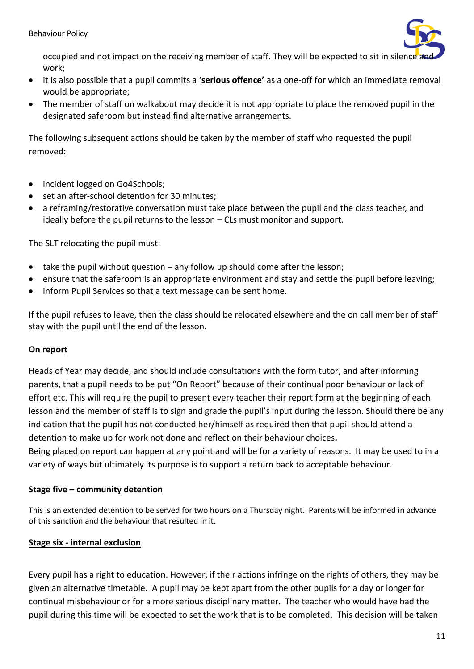

occupied and not impact on the receiving member of staff. They will be expected to sit in silence work;

- it is also possible that a pupil commits a '**serious offence'** as a one-off for which an immediate removal would be appropriate;
- The member of staff on walkabout may decide it is not appropriate to place the removed pupil in the designated saferoom but instead find alternative arrangements.

The following subsequent actions should be taken by the member of staff who requested the pupil removed:

- incident logged on Go4Schools;
- set an after-school detention for 30 minutes;
- a reframing/restorative conversation must take place between the pupil and the class teacher, and ideally before the pupil returns to the lesson – CLs must monitor and support.

The SLT relocating the pupil must:

- take the pupil without question  $-$  any follow up should come after the lesson;
- ensure that the saferoom is an appropriate environment and stay and settle the pupil before leaving;
- inform Pupil Services so that a text message can be sent home.

If the pupil refuses to leave, then the class should be relocated elsewhere and the on call member of staff stay with the pupil until the end of the lesson.

#### **On report**

Heads of Year may decide, and should include consultations with the form tutor, and after informing parents, that a pupil needs to be put "On Report" because of their continual poor behaviour or lack of effort etc. This will require the pupil to present every teacher their report form at the beginning of each lesson and the member of staff is to sign and grade the pupil's input during the lesson. Should there be any indication that the pupil has not conducted her/himself as required then that pupil should attend a detention to make up for work not done and reflect on their behaviour choices**.**

Being placed on report can happen at any point and will be for a variety of reasons. It may be used to in a variety of ways but ultimately its purpose is to support a return back to acceptable behaviour.

## **Stage five – community detention**

This is an extended detention to be served for two hours on a Thursday night. Parents will be informed in advance of this sanction and the behaviour that resulted in it.

## **Stage six - internal exclusion**

Every pupil has a right to education. However, if their actions infringe on the rights of others, they may be given an alternative timetable**.** A pupil may be kept apart from the other pupils for a day or longer for continual misbehaviour or for a more serious disciplinary matter. The teacher who would have had the pupil during this time will be expected to set the work that is to be completed. This decision will be taken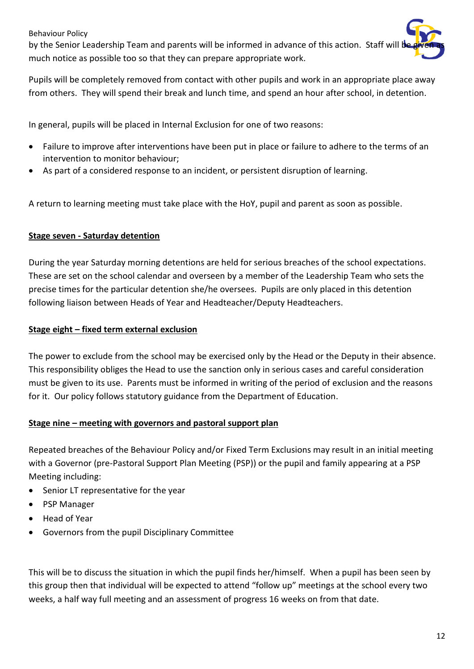#### Behaviour Policy

by the Senior Leadership Team and parents will be informed in advance of this action. Staff will be given much notice as possible too so that they can prepare appropriate work.

Pupils will be completely removed from contact with other pupils and work in an appropriate place away from others. They will spend their break and lunch time, and spend an hour after school, in detention.

In general, pupils will be placed in Internal Exclusion for one of two reasons:

- Failure to improve after interventions have been put in place or failure to adhere to the terms of an intervention to monitor behaviour;
- As part of a considered response to an incident, or persistent disruption of learning.

A return to learning meeting must take place with the HoY, pupil and parent as soon as possible.

### **Stage seven - Saturday detention**

During the year Saturday morning detentions are held for serious breaches of the school expectations. These are set on the school calendar and overseen by a member of the Leadership Team who sets the precise times for the particular detention she/he oversees. Pupils are only placed in this detention following liaison between Heads of Year and Headteacher/Deputy Headteachers.

#### **Stage eight – fixed term external exclusion**

The power to exclude from the school may be exercised only by the Head or the Deputy in their absence. This responsibility obliges the Head to use the sanction only in serious cases and careful consideration must be given to its use. Parents must be informed in writing of the period of exclusion and the reasons for it. Our policy follows statutory guidance from the Department of Education.

## **Stage nine – meeting with governors and pastoral support plan**

Repeated breaches of the Behaviour Policy and/or Fixed Term Exclusions may result in an initial meeting with a Governor (pre-Pastoral Support Plan Meeting (PSP)) or the pupil and family appearing at a PSP Meeting including:

- Senior LT representative for the year
- PSP Manager
- Head of Year
- Governors from the pupil Disciplinary Committee

This will be to discuss the situation in which the pupil finds her/himself. When a pupil has been seen by this group then that individual will be expected to attend "follow up" meetings at the school every two weeks, a half way full meeting and an assessment of progress 16 weeks on from that date.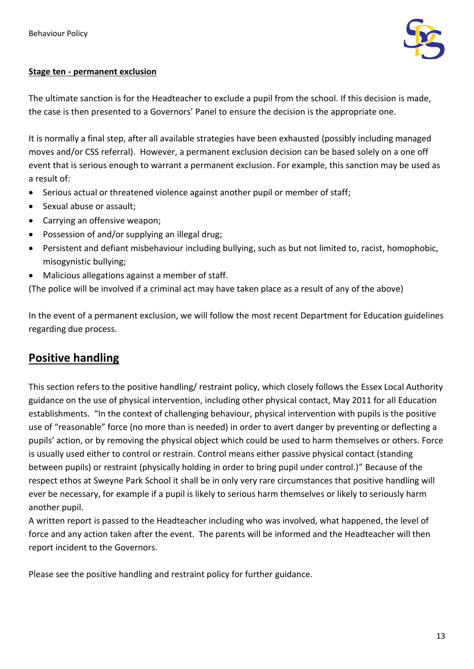

## **Stage ten - permanent exclusion**

The ultimate sanction is for the Headteacher to exclude a pupil from the school. If this decision is made, the case is then presented to a Governors' Panel to ensure the decision is the appropriate one.

It is normally a final step, after all available strategies have been exhausted (possibly including managed moves and/or CSS referral). However, a permanent exclusion decision can be based solely on a one off event that is serious enough to warrant a permanent exclusion. For example, this sanction may be used as a result of:

- Serious actual or threatened violence against another pupil or member of staff;
- Sexual abuse or assault;
- Carrying an offensive weapon;
- Possession of and/or supplying an illegal drug;
- Persistent and defiant misbehaviour including bullying, such as but not limited to, racist, homophobic, misogynistic bullying;
- Malicious allegations against a member of staff.

(The police will be involved if a criminal act may have taken place as a result of any of the above)

In the event of a permanent exclusion, we will follow the most recent Department for Education guidelines regarding due process.

# **Positive handling**

This section refers to the positive handling/ restraint policy, which closely follows the Essex Local Authority guidance on the use of physical intervention, including other physical contact, May 2011 for all Education establishments. "In the context of challenging behaviour, physical intervention with pupils is the positive use of "reasonable" force (no more than is needed) in order to avert danger by preventing or deflecting a pupils' action, or by removing the physical object which could be used to harm themselves or others. Force is usually used either to control or restrain. Control means either passive physical contact (standing between pupils) or restraint (physically holding in order to bring pupil under control.)" Because of the respect ethos at Sweyne Park School it shall be in only very rare circumstances that positive handling will ever be necessary, for example if a pupil is likely to serious harm themselves or likely to seriously harm another pupil.

A written report is passed to the Headteacher including who was involved, what happened, the level of force and any action taken after the event. The parents will be informed and the Headteacher will then report incident to the Governors.

Please see the positive handling and restraint policy for further guidance.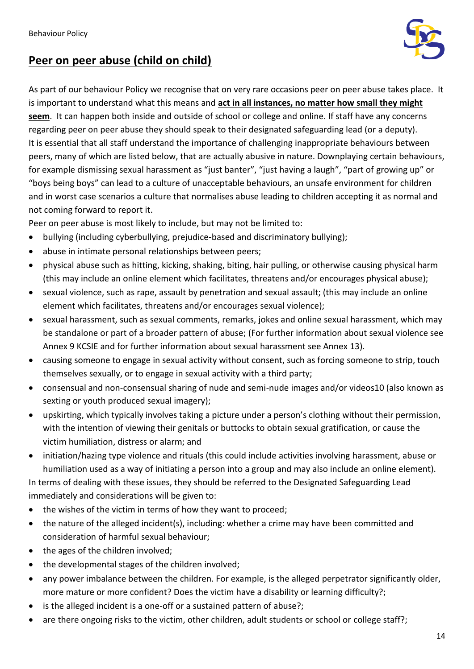

# **Peer on peer abuse (child on child)**

As part of our behaviour Policy we recognise that on very rare occasions peer on peer abuse takes place. It is important to understand what this means and **act in all instances, no matter how small they might seem**. It can happen both inside and outside of school or college and online. If staff have any concerns regarding peer on peer abuse they should speak to their designated safeguarding lead (or a deputy). It is essential that all staff understand the importance of challenging inappropriate behaviours between peers, many of which are listed below, that are actually abusive in nature. Downplaying certain behaviours, for example dismissing sexual harassment as "just banter", "just having a laugh", "part of growing up" or "boys being boys" can lead to a culture of unacceptable behaviours, an unsafe environment for children and in worst case scenarios a culture that normalises abuse leading to children accepting it as normal and not coming forward to report it.

Peer on peer abuse is most likely to include, but may not be limited to:

- bullying (including cyberbullying, prejudice-based and discriminatory bullying);
- abuse in intimate personal relationships between peers;
- physical abuse such as hitting, kicking, shaking, biting, hair pulling, or otherwise causing physical harm (this may include an online element which facilitates, threatens and/or encourages physical abuse);
- sexual violence, such as rape, assault by penetration and sexual assault; (this may include an online element which facilitates, threatens and/or encourages sexual violence);
- sexual harassment, such as sexual comments, remarks, jokes and online sexual harassment, which may be standalone or part of a broader pattern of abuse; (For further information about sexual violence see Annex 9 KCSIE and for further information about sexual harassment see Annex 13).
- causing someone to engage in sexual activity without consent, such as forcing someone to strip, touch themselves sexually, or to engage in sexual activity with a third party;
- consensual and non-consensual sharing of nude and semi-nude images and/or videos10 (also known as sexting or youth produced sexual imagery);
- upskirting, which typically involves taking a picture under a person's clothing without their permission, with the intention of viewing their genitals or buttocks to obtain sexual gratification, or cause the victim humiliation, distress or alarm; and
- initiation/hazing type violence and rituals (this could include activities involving harassment, abuse or humiliation used as a way of initiating a person into a group and may also include an online element).

In terms of dealing with these issues, they should be referred to the Designated Safeguarding Lead immediately and considerations will be given to:

- the wishes of the victim in terms of how they want to proceed;
- the nature of the alleged incident(s), including: whether a crime may have been committed and consideration of harmful sexual behaviour;
- the ages of the children involved;
- the developmental stages of the children involved;
- any power imbalance between the children. For example, is the alleged perpetrator significantly older, more mature or more confident? Does the victim have a disability or learning difficulty?;
- is the alleged incident is a one-off or a sustained pattern of abuse?;
- are there ongoing risks to the victim, other children, adult students or school or college staff?;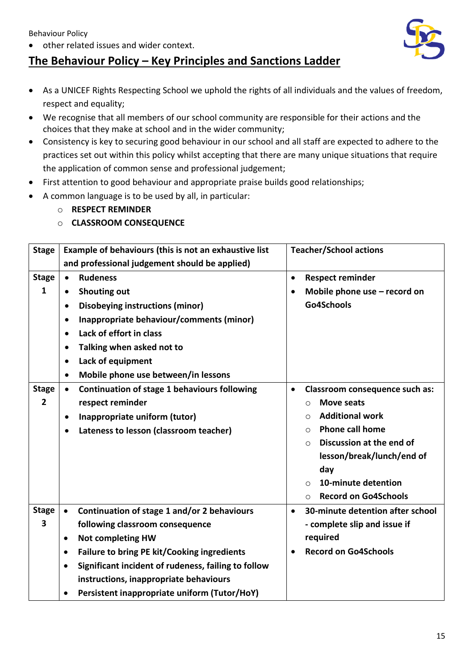Behaviour Policy

• other related issues and wider context.

# **The Behaviour Policy – Key Principles and Sanctions Ladder**

- As a UNICEF Rights Respecting School we uphold the rights of all individuals and the values of freedom, respect and equality;
- We recognise that all members of our school community are responsible for their actions and the choices that they make at school and in the wider community;
- Consistency is key to securing good behaviour in our school and all staff are expected to adhere to the practices set out within this policy whilst accepting that there are many unique situations that require the application of common sense and professional judgement;
- First attention to good behaviour and appropriate praise builds good relationships;
- A common language is to be used by all, in particular:
	- o **RESPECT REMINDER**
	- o **CLASSROOM CONSEQUENCE**

| <b>Stage</b>                   | Example of behaviours (this is not an exhaustive list                                                                                                                                                                                                                                                                                                                              | <b>Teacher/School actions</b>                                                                                                                                                                                                                                                                                     |  |
|--------------------------------|------------------------------------------------------------------------------------------------------------------------------------------------------------------------------------------------------------------------------------------------------------------------------------------------------------------------------------------------------------------------------------|-------------------------------------------------------------------------------------------------------------------------------------------------------------------------------------------------------------------------------------------------------------------------------------------------------------------|--|
|                                | and professional judgement should be applied)                                                                                                                                                                                                                                                                                                                                      |                                                                                                                                                                                                                                                                                                                   |  |
| <b>Stage</b><br>1              | <b>Rudeness</b><br>$\bullet$<br><b>Shouting out</b><br>$\bullet$<br><b>Disobeying instructions (minor)</b><br>$\bullet$<br>Inappropriate behaviour/comments (minor)<br>$\bullet$<br>Lack of effort in class<br>$\bullet$<br>Talking when asked not to<br>$\bullet$<br>Lack of equipment<br>$\bullet$<br>Mobile phone use between/in lessons<br>$\bullet$                           | <b>Respect reminder</b><br>$\bullet$<br>Mobile phone use $-$ record on<br>$\bullet$<br>Go4Schools                                                                                                                                                                                                                 |  |
| <b>Stage</b><br>$\overline{2}$ | Continuation of stage 1 behaviours following<br>$\bullet$<br>respect reminder<br>Inappropriate uniform (tutor)<br>$\bullet$<br>Lateness to lesson (classroom teacher)                                                                                                                                                                                                              | Classroom consequence such as:<br>$\bullet$<br><b>Move seats</b><br>$\circ$<br><b>Additional work</b><br>$\circ$<br><b>Phone call home</b><br>$\bigcirc$<br>Discussion at the end of<br>$\circ$<br>lesson/break/lunch/end of<br>day<br>10-minute detention<br>$\Omega$<br><b>Record on Go4Schools</b><br>$\Omega$ |  |
| <b>Stage</b><br>3              | Continuation of stage 1 and/or 2 behaviours<br>$\bullet$<br>following classroom consequence<br><b>Not completing HW</b><br>$\bullet$<br><b>Failure to bring PE kit/Cooking ingredients</b><br>$\bullet$<br>Significant incident of rudeness, failing to follow<br>$\bullet$<br>instructions, inappropriate behaviours<br>Persistent inappropriate uniform (Tutor/HoY)<br>$\bullet$ | 30-minute detention after school<br>$\bullet$<br>- complete slip and issue if<br>required<br><b>Record on Go4Schools</b><br>$\bullet$                                                                                                                                                                             |  |